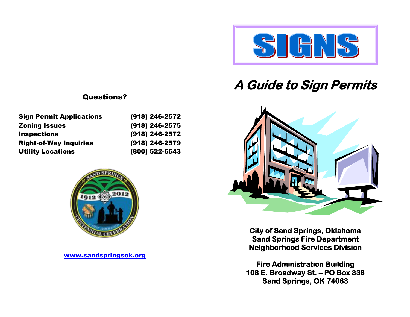

# **A Guide to Sign Permits**



**City of Sand Springs, Oklahoma Sand Springs Fire Department Neighborhood Services Division** 

**Fire Administration Building 108 E. Broadway St. – PO Box 338 Sand Springs, OK 74063** 

## Questions?

| <b>Sign Permit Applications</b> | (918) 246-2572 |
|---------------------------------|----------------|
| <b>Zoning Issues</b>            | (918) 246-2575 |
| <b>Inspections</b>              | (918) 246-2572 |
| <b>Right-of-Way Inquiries</b>   | (918) 246-2579 |
| <b>Utility Locations</b>        | (800) 522-6543 |



[www.sandspringsok.org](http://www.sandspringsok.org/)